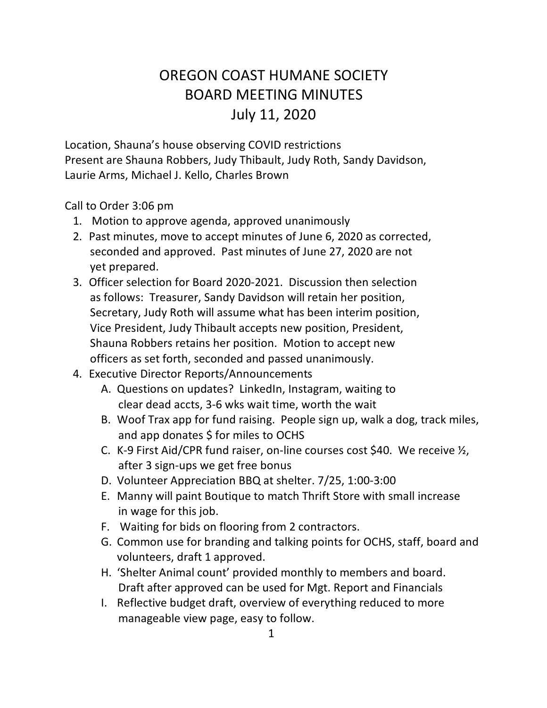## OREGON COAST HUMANE SOCIETY BOARD MEETING MINUTES July 11, 2020

Location, Shauna's house observing COVID restrictions Present are Shauna Robbers, Judy Thibault, Judy Roth, Sandy Davidson, Laurie Arms, Michael J. Kello, Charles Brown

Call to Order 3:06 pm

- 1. Motion to approve agenda, approved unanimously
- 2. Past minutes, move to accept minutes of June 6, 2020 as corrected, seconded and approved. Past minutes of June 27, 2020 are not yet prepared.
- 3. Officer selection for Board 2020-2021. Discussion then selection as follows: Treasurer, Sandy Davidson will retain her position, Secretary, Judy Roth will assume what has been interim position, Vice President, Judy Thibault accepts new position, President, Shauna Robbers retains her position. Motion to accept new officers as set forth, seconded and passed unanimously.
- 4. Executive Director Reports/Announcements
	- A. Questions on updates? LinkedIn, Instagram, waiting to clear dead accts, 3-6 wks wait time, worth the wait
	- B. Woof Trax app for fund raising. People sign up, walk a dog, track miles, and app donates \$ for miles to OCHS
	- C. K-9 First Aid/CPR fund raiser, on-line courses cost \$40. We receive ½, after 3 sign-ups we get free bonus
	- D. Volunteer Appreciation BBQ at shelter. 7/25, 1:00-3:00
	- E. Manny will paint Boutique to match Thrift Store with small increase in wage for this job.
	- F. Waiting for bids on flooring from 2 contractors.
	- G. Common use for branding and talking points for OCHS, staff, board and volunteers, draft 1 approved.
	- H. 'Shelter Animal count' provided monthly to members and board. Draft after approved can be used for Mgt. Report and Financials
	- I. Reflective budget draft, overview of everything reduced to more manageable view page, easy to follow.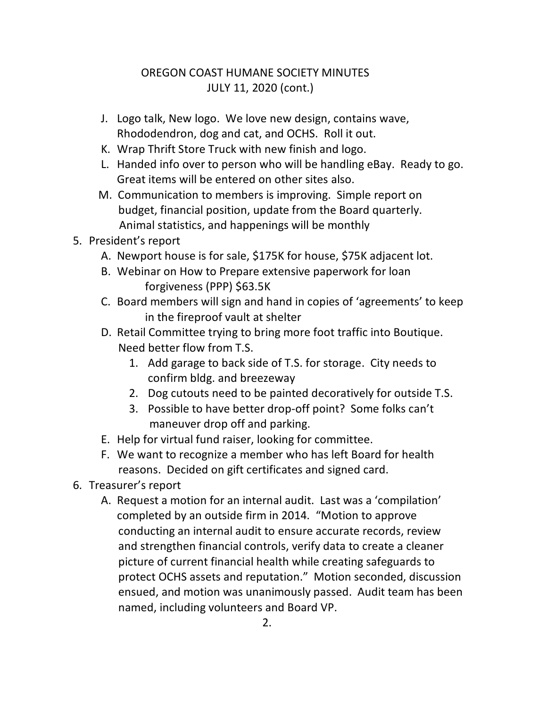## OREGON COAST HUMANE SOCIETY MINUTES JULY 11, 2020 (cont.)

- J. Logo talk, New logo. We love new design, contains wave, Rhododendron, dog and cat, and OCHS. Roll it out.
- K. Wrap Thrift Store Truck with new finish and logo.
- L. Handed info over to person who will be handling eBay. Ready to go. Great items will be entered on other sites also.
- M. Communication to members is improving. Simple report on budget, financial position, update from the Board quarterly. Animal statistics, and happenings will be monthly

## 5. President's report

- A. Newport house is for sale, \$175K for house, \$75K adjacent lot.
- B. Webinar on How to Prepare extensive paperwork for loan forgiveness (PPP) \$63.5K
- C. Board members will sign and hand in copies of 'agreements' to keep in the fireproof vault at shelter
- D. Retail Committee trying to bring more foot traffic into Boutique. Need better flow from T.S.
	- 1. Add garage to back side of T.S. for storage. City needs to confirm bldg. and breezeway
	- 2. Dog cutouts need to be painted decoratively for outside T.S.
	- 3. Possible to have better drop-off point? Some folks can't maneuver drop off and parking.
- E. Help for virtual fund raiser, looking for committee.
- F. We want to recognize a member who has left Board for health reasons. Decided on gift certificates and signed card.
- 6. Treasurer's report
	- A. Request a motion for an internal audit. Last was a 'compilation' completed by an outside firm in 2014. "Motion to approve conducting an internal audit to ensure accurate records, review and strengthen financial controls, verify data to create a cleaner picture of current financial health while creating safeguards to protect OCHS assets and reputation." Motion seconded, discussion ensued, and motion was unanimously passed. Audit team has been named, including volunteers and Board VP.